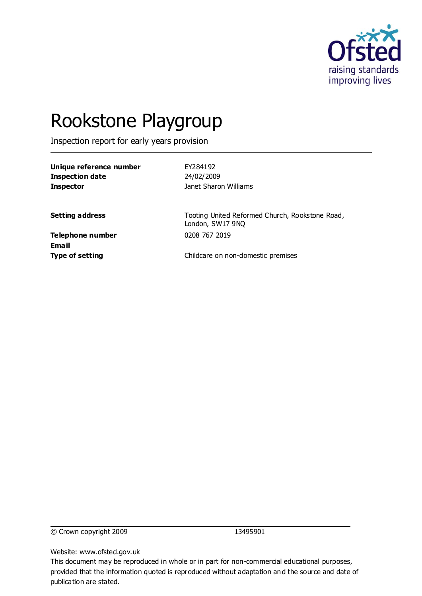

# Rookstone Playgroup

Inspection report for early years provision

| Unique reference number |  |
|-------------------------|--|
| Inspection date         |  |
| Inspector               |  |

**Unique reference number** EY284192 **Inspection date** 24/02/2009 **Inspector** Janet Sharon Williams

**Setting address** Tooting United Reformed Church, Rookstone Road, London, SW17 9NQ

**Telephone number** 0208 767 2019 **Email**

**Type of setting** Childcare on non-domestic premises

© Crown copyright 2009 13495901

Website: www.ofsted.gov.uk

This document may be reproduced in whole or in part for non-commercial educational purposes, provided that the information quoted is reproduced without adaptation and the source and date of publication are stated.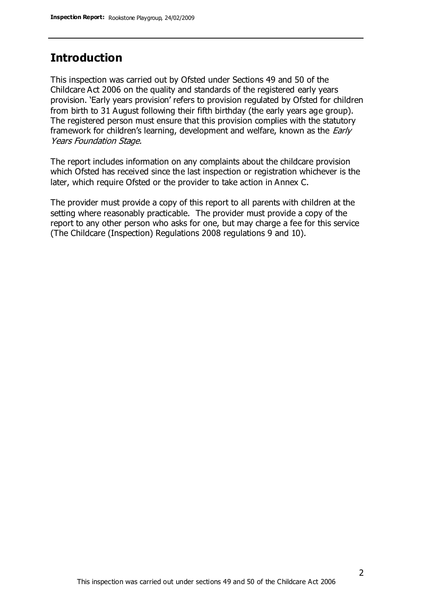### **Introduction**

This inspection was carried out by Ofsted under Sections 49 and 50 of the Childcare Act 2006 on the quality and standards of the registered early years provision. 'Early years provision' refers to provision regulated by Ofsted for children from birth to 31 August following their fifth birthday (the early years age group). The registered person must ensure that this provision complies with the statutory framework for children's learning, development and welfare, known as the *Early* Years Foundation Stage.

The report includes information on any complaints about the childcare provision which Ofsted has received since the last inspection or registration whichever is the later, which require Ofsted or the provider to take action in Annex C.

The provider must provide a copy of this report to all parents with children at the setting where reasonably practicable. The provider must provide a copy of the report to any other person who asks for one, but may charge a fee for this service (The Childcare (Inspection) Regulations 2008 regulations 9 and 10).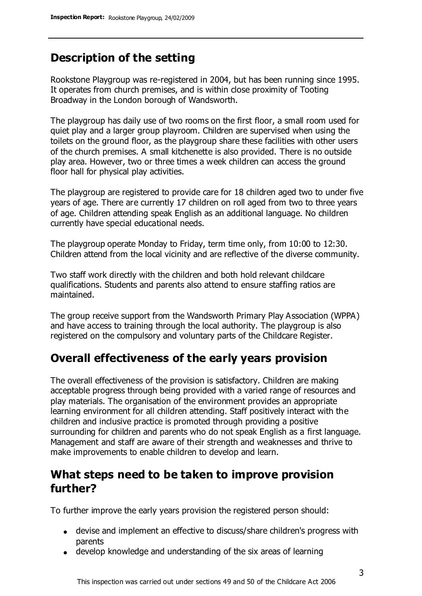## **Description of the setting**

Rookstone Playgroup was re-registered in 2004, but has been running since 1995. It operates from church premises, and is within close proximity of Tooting Broadway in the London borough of Wandsworth.

The playgroup has daily use of two rooms on the first floor, a small room used for quiet play and a larger group playroom. Children are supervised when using the toilets on the ground floor, as the playgroup share these facilities with other users of the church premises. A small kitchenette is also provided. There is no outside play area. However, two or three times a week children can access the ground floor hall for physical play activities.

The playgroup are registered to provide care for 18 children aged two to under five years of age. There are currently 17 children on roll aged from two to three years of age. Children attending speak English as an additional language. No children currently have special educational needs.

The playgroup operate Monday to Friday, term time only, from 10:00 to 12:30. Children attend from the local vicinity and are reflective of the diverse community.

Two staff work directly with the children and both hold relevant childcare qualifications. Students and parents also attend to ensure staffing ratios are maintained.

The group receive support from the Wandsworth Primary Play Association (WPPA) and have access to training through the local authority. The playgroup is also registered on the compulsory and voluntary parts of the Childcare Register.

#### **Overall effectiveness of the early years provision**

The overall effectiveness of the provision is satisfactory. Children are making acceptable progress through being provided with a varied range of resources and play materials. The organisation of the environment provides an appropriate learning environment for all children attending. Staff positively interact with the children and inclusive practice is promoted through providing a positive surrounding for children and parents who do not speak English as a first language. Management and staff are aware of their strength and weaknesses and thrive to make improvements to enable children to develop and learn.

## **What steps need to be taken to improve provision further?**

To further improve the early years provision the registered person should:

- devise and implement an effective to discuss/share children's progress with parents
- develop knowledge and understanding of the six areas of learning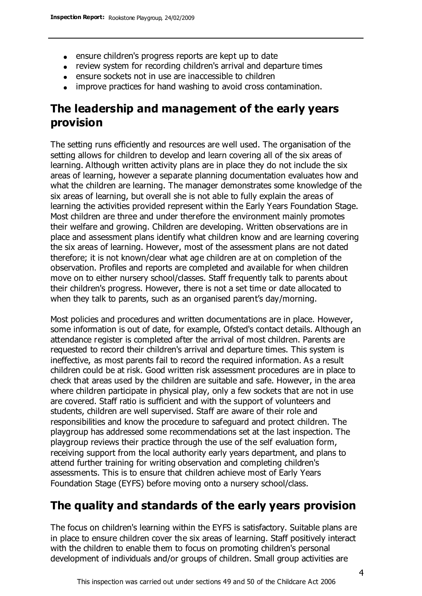- ensure children's progress reports are kept up to date
- review system for recording children's arrival and departure times
- ensure sockets not in use are inaccessible to children
- improve practices for hand washing to avoid cross contamination.

# **The leadership and management of the early years provision**

The setting runs efficiently and resources are well used. The organisation of the setting allows for children to develop and learn covering all of the six areas of learning. Although written activity plans are in place they do not include the six areas of learning, however a separate planning documentation evaluates how and what the children are learning. The manager demonstrates some knowledge of the six areas of learning, but overall she is not able to fully explain the areas of learning the activities provided represent within the Early Years Foundation Stage. Most children are three and under therefore the environment mainly promotes their welfare and growing. Children are developing. Written observations are in place and assessment plans identify what children know and are learning covering the six areas of learning. However, most of the assessment plans are not dated therefore; it is not known/clear what age children are at on completion of the observation. Profiles and reports are completed and available for when children move on to either nursery school/classes. Staff frequently talk to parents about their children's progress. However, there is not a set time or date allocated to when they talk to parents, such as an organised parent's day/morning.

Most policies and procedures and written documentations are in place. However, some information is out of date, for example, Ofsted's contact details. Although an attendance register is completed after the arrival of most children. Parents are requested to record their children's arrival and departure times. This system is ineffective, as most parents fail to record the required information. As a result children could be at risk. Good written risk assessment procedures are in place to check that areas used by the children are suitable and safe. However, in the area where children participate in physical play, only a few sockets that are not in use are covered. Staff ratio is sufficient and with the support of volunteers and students, children are well supervised. Staff are aware of their role and responsibilities and know the procedure to safeguard and protect children. The playgroup has addressed some recommendations set at the last inspection. The playgroup reviews their practice through the use of the self evaluation form, receiving support from the local authority early years department, and plans to attend further training for writing observation and completing children's assessments. This is to ensure that children achieve most of Early Years Foundation Stage (EYFS) before moving onto a nursery school/class.

# **The quality and standards of the early years provision**

The focus on children's learning within the EYFS is satisfactory. Suitable plans are in place to ensure children cover the six areas of learning. Staff positively interact with the children to enable them to focus on promoting children's personal development of individuals and/or groups of children. Small group activities are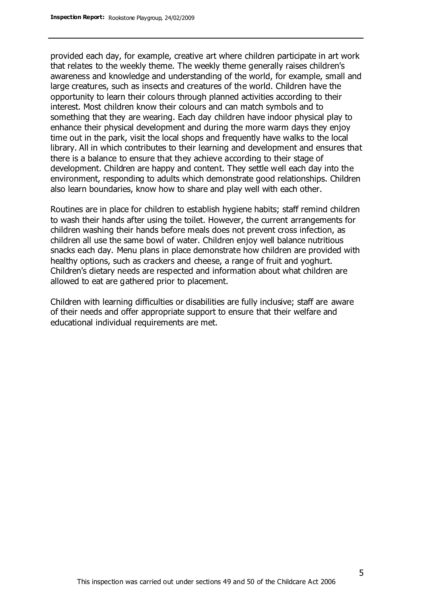provided each day, for example, creative art where children participate in art work that relates to the weekly theme. The weekly theme generally raises children's awareness and knowledge and understanding of the world, for example, small and large creatures, such as insects and creatures of the world. Children have the opportunity to learn their colours through planned activities according to their interest. Most children know their colours and can match symbols and to something that they are wearing. Each day children have indoor physical play to enhance their physical development and during the more warm days they enjoy time out in the park, visit the local shops and frequently have walks to the local library. All in which contributes to their learning and development and ensures that there is a balance to ensure that they achieve according to their stage of development. Children are happy and content. They settle well each day into the environment, responding to adults which demonstrate good relationships. Children also learn boundaries, know how to share and play well with each other.

Routines are in place for children to establish hygiene habits; staff remind children to wash their hands after using the toilet. However, the current arrangements for children washing their hands before meals does not prevent cross infection, as children all use the same bowl of water. Children enjoy well balance nutritious snacks each day. Menu plans in place demonstrate how children are provided with healthy options, such as crackers and cheese, a range of fruit and yoghurt. Children's dietary needs are respected and information about what children are allowed to eat are gathered prior to placement.

Children with learning difficulties or disabilities are fully inclusive; staff are aware of their needs and offer appropriate support to ensure that their welfare and educational individual requirements are met.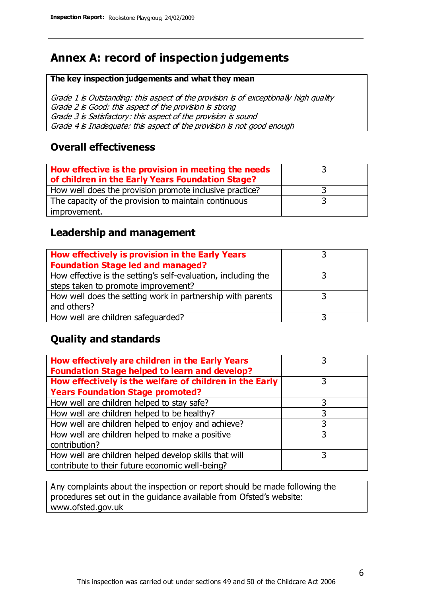# **Annex A: record of inspection judgements**

#### **The key inspection judgements and what they mean**

Grade 1 is Outstanding: this aspect of the provision is of exceptionally high quality Grade 2 is Good: this aspect of the provision is strong Grade 3 is Satisfactory: this aspect of the provision is sound Grade 4 is Inadequate: this aspect of the provision is not good enough

#### **Overall effectiveness**

| How effective is the provision in meeting the needs<br>of children in the Early Years Foundation Stage? |  |
|---------------------------------------------------------------------------------------------------------|--|
| How well does the provision promote inclusive practice?                                                 |  |
| The capacity of the provision to maintain continuous                                                    |  |
| improvement.                                                                                            |  |

#### **Leadership and management**

| How effectively is provision in the Early Years               |  |
|---------------------------------------------------------------|--|
| <b>Foundation Stage led and managed?</b>                      |  |
| How effective is the setting's self-evaluation, including the |  |
| steps taken to promote improvement?                           |  |
| How well does the setting work in partnership with parents    |  |
| and others?                                                   |  |
| How well are children safequarded?                            |  |

#### **Quality and standards**

| How effectively are children in the Early Years<br><b>Foundation Stage helped to learn and develop?</b> |   |
|---------------------------------------------------------------------------------------------------------|---|
| How effectively is the welfare of children in the Early                                                 | 3 |
| <b>Years Foundation Stage promoted?</b>                                                                 |   |
| How well are children helped to stay safe?                                                              |   |
| How well are children helped to be healthy?                                                             | 3 |
| How well are children helped to enjoy and achieve?                                                      | 3 |
| How well are children helped to make a positive                                                         | 3 |
| contribution?                                                                                           |   |
| How well are children helped develop skills that will                                                   |   |
| contribute to their future economic well-being?                                                         |   |

Any complaints about the inspection or report should be made following the procedures set out in the guidance available from Ofsted's website: www.ofsted.gov.uk